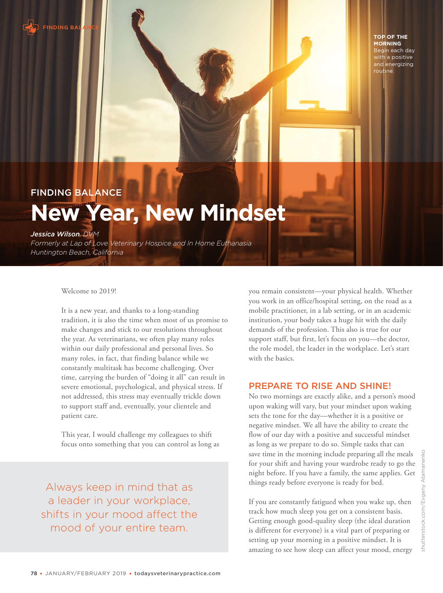

**TOP OF THE MORNING** Begin each day with a positive and energizing routine.

# FINDING BALANCE **New Year, New Mindset**

### *Jessica Wilson, DVM*

*Formerly at Lap of Love Veterinary Hospice and In Home Euthanasia Huntington Beach, California*

Welcome to 2019!

It is a new year, and thanks to a long-standing tradition, it is also the time when most of us promise to make changes and stick to our resolutions throughout the year. As veterinarians, we often play many roles within our daily professional and personal lives. So many roles, in fact, that finding balance while we constantly multitask has become challenging. Over time, carrying the burden of "doing it all" can result in severe emotional, psychological, and physical stress. If not addressed, this stress may eventually trickle down to support staff and, eventually, your clientele and patient care.

This year, I would challenge my colleagues to shift focus onto something that you can control as long as

Always keep in mind that as a leader in your workplace, shifts in your mood affect the mood of your entire team.

you remain consistent—your physical health. Whether you work in an office/hospital setting, on the road as a mobile practitioner, in a lab setting, or in an academic institution, your body takes a huge hit with the daily demands of the profession. This also is true for our support staff, but first, let's focus on you—the doctor, the role model, the leader in the workplace. Let's start with the basics.

# PREPARE TO RISE AND SHINE!

No two mornings are exactly alike, and a person's mood upon waking will vary, but your mindset upon waking sets the tone for the day—whether it is a positive or negative mindset. We all have the ability to create the flow of our day with a positive and successful mindset as long as we prepare to do so. Simple tasks that can save time in the morning include preparing all the meals for your shift and having your wardrobe ready to go the night before. If you have a family, the same applies. Get things ready before everyone is ready for bed.

If you are constantly fatigued when you wake up, then track how much sleep you get on a consistent basis. Getting enough good-quality sleep (the ideal duration is different for everyone) is a vital part of preparing or setting up your morning in a positive mindset. It is amazing to see how sleep can affect your mood, energy